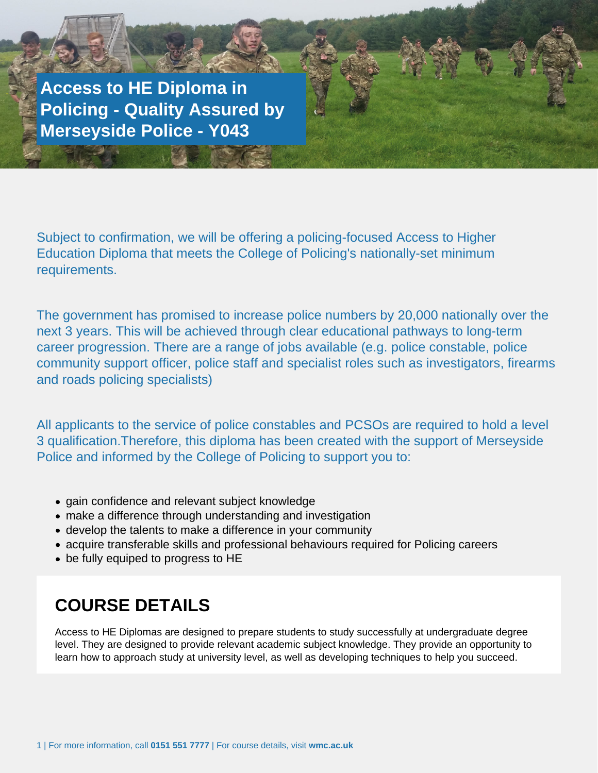**Access to HE Diploma in Policing - Quality Assured by Merseyside Police - Y043**

Or Application Form to be returned to Student Services

Subject to confirmation, we will be offering a policing-focused Access to Higher Education Diploma that meets the College of Policing's nationally-set minimum requirements.

The government has promised to increase police numbers by 20,000 nationally over the next 3 years. This will be achieved through clear educational pathways to long-term career progression. There are a range of jobs available (e.g. police constable, police community support officer, police staff and specialist roles such as investigators, firearms and roads policing specialists)

All applicants to the service of police constables and PCSOs are required to hold a level 3 qualification.Therefore, this diploma has been created with the support of Merseyside Police and informed by the College of Policing to support you to:

- gain confidence and relevant subject knowledge
- make a difference through understanding and investigation
- develop the talents to make a difference in your community
- acquire transferable skills and professional behaviours required for Policing careers
- be fully equiped to progress to HE

### **COURSE DETAILS**

Access to HE Diplomas are designed to prepare students to study successfully at undergraduate degree level. They are designed to provide relevant academic subject knowledge. They provide an opportunity to learn how to approach study at university level, as well as developing techniques to help you succeed.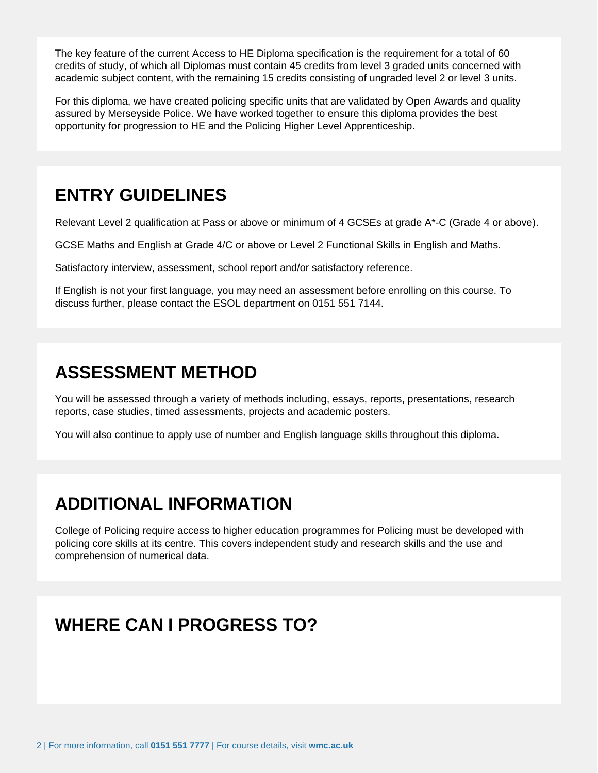The key feature of the current Access to HE Diploma specification is the requirement for a total of 60 credits of study, of which all Diplomas must contain 45 credits from level 3 graded units concerned with academic subject content, with the remaining 15 credits consisting of ungraded level 2 or level 3 units.

For this diploma, we have created policing specific units that are validated by Open Awards and quality assured by Merseyside Police. We have worked together to ensure this diploma provides the best opportunity for progression to HE and the Policing Higher Level Apprenticeship.

# **ENTRY GUIDELINES**

Relevant Level 2 qualification at Pass or above or minimum of 4 GCSEs at grade A\*-C (Grade 4 or above).

GCSE Maths and English at Grade 4/C or above or Level 2 Functional Skills in English and Maths.

Satisfactory interview, assessment, school report and/or satisfactory reference.

If English is not your first language, you may need an assessment before enrolling on this course. To discuss further, please contact the ESOL department on 0151 551 7144.

## **ASSESSMENT METHOD**

You will be assessed through a variety of methods including, essays, reports, presentations, research reports, case studies, timed assessments, projects and academic posters.

You will also continue to apply use of number and English language skills throughout this diploma.

### **ADDITIONAL INFORMATION**

College of Policing require access to higher education programmes for Policing must be developed with policing core skills at its centre. This covers independent study and research skills and the use and comprehension of numerical data.

# **WHERE CAN I PROGRESS TO?**